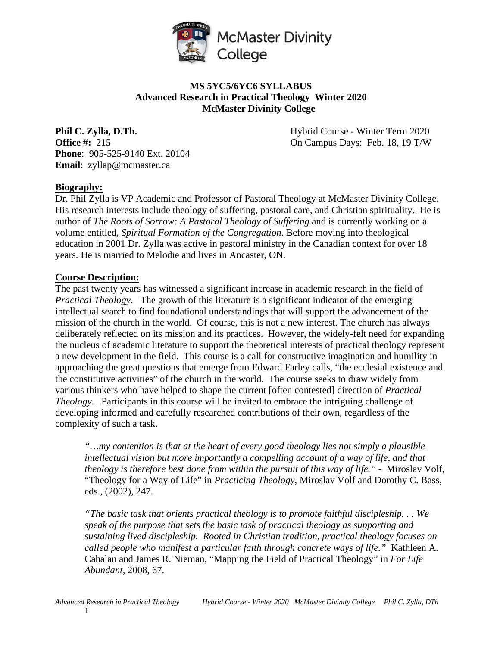

# **MS 5YC5/6YC6 SYLLABUS Advanced Research in Practical Theology Winter 2020 McMaster Divinity College**

**Phone**: 905-525-9140 Ext. 20104 **Email**: zyllap@mcmaster.ca

**Phil C. Zylla, D.Th. Hybrid Course - Winter Term 2020 Office #:** 215 **On Campus Days: Feb. 18, 19 T/W** 

## **Biography:**

Dr. Phil Zylla is VP Academic and Professor of Pastoral Theology at McMaster Divinity College. His research interests include theology of suffering, pastoral care, and Christian spirituality. He is author of *The Roots of Sorrow: A Pastoral Theology of Suffering* and is currently working on a volume entitled, *Spiritual Formation of the Congregation*. Before moving into theological education in 2001 Dr. Zylla was active in pastoral ministry in the Canadian context for over 18 years. He is married to Melodie and lives in Ancaster, ON.

#### **Course Description:**

The past twenty years has witnessed a significant increase in academic research in the field of *Practical Theology*. The growth of this literature is a significant indicator of the emerging intellectual search to find foundational understandings that will support the advancement of the mission of the church in the world. Of course, this is not a new interest. The church has always deliberately reflected on its mission and its practices. However, the widely-felt need for expanding the nucleus of academic literature to support the theoretical interests of practical theology represent a new development in the field. This course is a call for constructive imagination and humility in approaching the great questions that emerge from Edward Farley calls, "the ecclesial existence and the constitutive activities" of the church in the world. The course seeks to draw widely from various thinkers who have helped to shape the current [often contested] direction of *Practical Theology*. Participants in this course will be invited to embrace the intriguing challenge of developing informed and carefully researched contributions of their own, regardless of the complexity of such a task.

*"…my contention is that at the heart of every good theology lies not simply a plausible intellectual vision but more importantly a compelling account of a way of life, and that theology is therefore best done from within the pursuit of this way of life."* - Miroslav Volf, "Theology for a Way of Life" in *Practicing Theology*, Miroslav Volf and Dorothy C. Bass, eds., (2002), 247.

*"The basic task that orients practical theology is to promote faithful discipleship. . . We speak of the purpose that sets the basic task of practical theology as supporting and sustaining lived discipleship. Rooted in Christian tradition, practical theology focuses on called people who manifest a particular faith through concrete ways of life."* Kathleen A. Cahalan and James R. Nieman, "Mapping the Field of Practical Theology" in *For Life Abundant,* 2008, 67.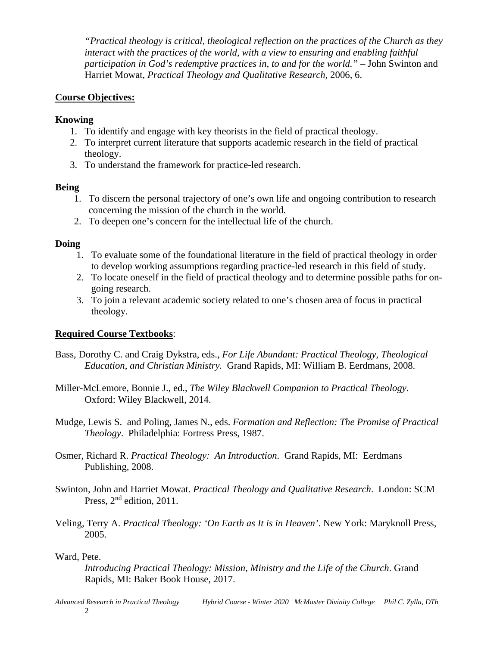*"Practical theology is critical, theological reflection on the practices of the Church as they interact with the practices of the world, with a view to ensuring and enabling faithful participation in God's redemptive practices in, to and for the world." –* John Swinton and Harriet Mowat*, Practical Theology and Qualitative Research,* 2006, 6.

#### **Course Objectives:**

#### **Knowing**

- 1. To identify and engage with key theorists in the field of practical theology.
- 2. To interpret current literature that supports academic research in the field of practical theology.
- 3. To understand the framework for practice-led research.

## **Being**

- 1. To discern the personal trajectory of one's own life and ongoing contribution to research concerning the mission of the church in the world.
- 2. To deepen one's concern for the intellectual life of the church.

## **Doing**

- 1. To evaluate some of the foundational literature in the field of practical theology in order to develop working assumptions regarding practice-led research in this field of study.
- 2. To locate oneself in the field of practical theology and to determine possible paths for ongoing research.
- 3. To join a relevant academic society related to one's chosen area of focus in practical theology.

## **Required Course Textbooks**:

- Bass, Dorothy C. and Craig Dykstra, eds., *For Life Abundant: Practical Theology, Theological Education, and Christian Ministry.* Grand Rapids, MI: William B. Eerdmans, 2008.
- Miller-McLemore, Bonnie J., ed., *The Wiley Blackwell Companion to Practical Theology*. Oxford: Wiley Blackwell, 2014.
- Mudge, Lewis S. and Poling, James N., eds. *Formation and Reflection: The Promise of Practical Theology*. Philadelphia: Fortress Press, 1987.
- Osmer, Richard R. *Practical Theology: An Introduction*. Grand Rapids, MI: Eerdmans Publishing, 2008.
- Swinton, John and Harriet Mowat. *Practical Theology and Qualitative Research*. London: SCM Press,  $2<sup>nd</sup>$  edition, 2011.
- Veling, Terry A. *Practical Theology: 'On Earth as It is in Heaven'*. New York: Maryknoll Press, 2005.

#### Ward, Pete.

*Introducing Practical Theology: Mission, Ministry and the Life of the Church*. Grand Rapids, MI: Baker Book House, 2017.

*Advanced Research in Practical Theology Hybrid Course - Winter 2020 McMaster Divinity College Phil C. Zylla, DTh*  2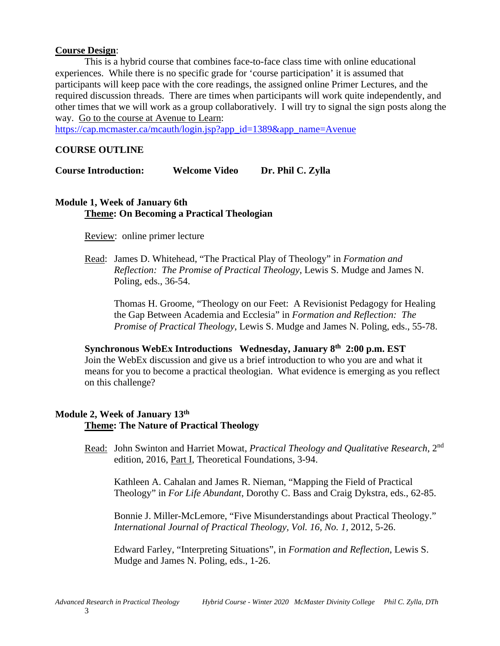#### **Course Design**:

This is a hybrid course that combines face-to-face class time with online educational experiences. While there is no specific grade for 'course participation' it is assumed that participants will keep pace with the core readings, the assigned online Primer Lectures, and the required discussion threads. There are times when participants will work quite independently, and other times that we will work as a group collaboratively. I will try to signal the sign posts along the way. Go to the course at Avenue to Learn:

[https://cap.mcmaster.ca/mcauth/login.jsp?app\\_id=1389&app\\_name=Avenue](https://cap.mcmaster.ca/mcauth/login.jsp?app_id=1389&app_name=Avenue)

#### **COURSE OUTLINE**

**Course Introduction: Welcome Video Dr. Phil C. Zylla** 

#### **Module 1, Week of January 6th Theme: On Becoming a Practical Theologian**

Review: online primer lecture

Read: James D. Whitehead, "The Practical Play of Theology" in *Formation and Reflection: The Promise of Practical Theology*, Lewis S. Mudge and James N. Poling, eds., 36-54.

Thomas H. Groome, "Theology on our Feet: A Revisionist Pedagogy for Healing the Gap Between Academia and Ecclesia" in *Formation and Reflection: The Promise of Practical Theology*, Lewis S. Mudge and James N. Poling, eds., 55-78.

**Synchronous WebEx Introductions Wednesday, January 8th 2:00 p.m. EST** Join the WebEx discussion and give us a brief introduction to who you are and what it means for you to become a practical theologian. What evidence is emerging as you reflect on this challenge?

#### **Module 2, Week of January 13th Theme: The Nature of Practical Theology**

Read: John Swinton and Harriet Mowat, *Practical Theology and Qualitative Research*, 2nd edition, 2016, Part I, Theoretical Foundations, 3-94.

Kathleen A. Cahalan and James R. Nieman, "Mapping the Field of Practical Theology" in *For Life Abundant*, Dorothy C. Bass and Craig Dykstra, eds., 62-85.

Bonnie J. Miller-McLemore, "Five Misunderstandings about Practical Theology." *International Journal of Practical Theology, Vol. 16, No. 1,* 2012, 5-26.

Edward Farley, "Interpreting Situations", in *Formation and Reflection*, Lewis S. Mudge and James N. Poling, eds., 1-26.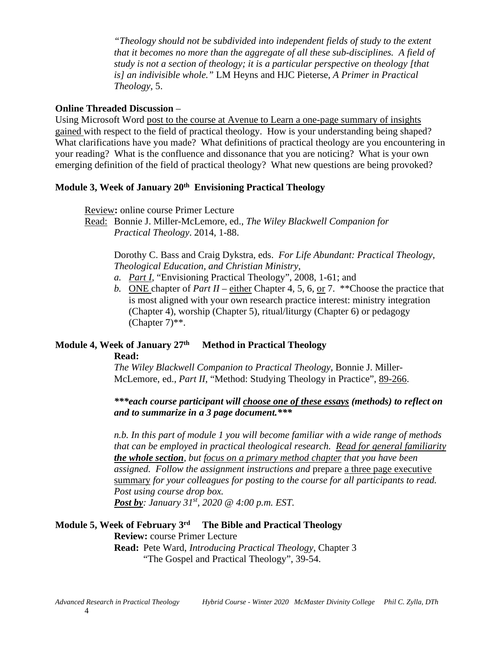*"Theology should not be subdivided into independent fields of study to the extent that it becomes no more than the aggregate of all these sub-disciplines. A field of study is not a section of theology; it is a particular perspective on theology [that is] an indivisible whole."* LM Heyns and HJC Pieterse, *A Primer in Practical Theology*, 5.

#### **Online Threaded Discussion** –

Using Microsoft Word post to the course at Avenue to Learn a one-page summary of insights gained with respect to the field of practical theology. How is your understanding being shaped? What clarifications have you made? What definitions of practical theology are you encountering in your reading? What is the confluence and dissonance that you are noticing? What is your own emerging definition of the field of practical theology? What new questions are being provoked?

# **Module 3, Week of January 20th Envisioning Practical Theology**

Review**:** online course Primer Lecture

Dorothy C. Bass and Craig Dykstra, eds. *For Life Abundant: Practical Theology, Theological Education, and Christian Ministry,* 

- *a. Part I,* "Envisioning Practical Theology", 2008, 1-61; and
- *b.* ONE chapter of *Part II* either Chapter 4, 5, 6, or 7. \*\*Choose the practice that is most aligned with your own research practice interest: ministry integration (Chapter 4), worship (Chapter 5), ritual/liturgy (Chapter 6) or pedagogy  $(Chapter 7)$ <sup>\*\*</sup>.

## **Module 4, Week of January 27th Method in Practical Theology**

#### **Read:**

*The Wiley Blackwell Companion to Practical Theology*, Bonnie J. Miller-McLemore, ed., *Part II*, "Method: Studying Theology in Practice", 89-266.

*n.b. In this part of module 1 you will become familiar with a wide range of methods that can be employed in practical theological research. Read for general familiarity the whole section, but focus on a primary method chapter that you have been assigned. Follow the assignment instructions and* prepare a three page executive summary *for your colleagues for posting to the course for all participants to read. Post using course drop box. Post by: January 31st, 2020 @ 4:00 p.m. EST.* 

# **Module 5, Week of February 3rd The Bible and Practical Theology**

#### **Review:** course Primer Lecture

**Read:** Pete Ward, *Introducing Practical Theology*, Chapter 3 "The Gospel and Practical Theology", 39-54.

Read: Bonnie J. Miller-McLemore, ed., *The Wiley Blackwell Companion for Practical Theology*. 2014, 1-88.

*<sup>\*\*\*</sup>each course participant will choose one of these essays (methods) to reflect on and to summarize in a 3 page document.\*\*\**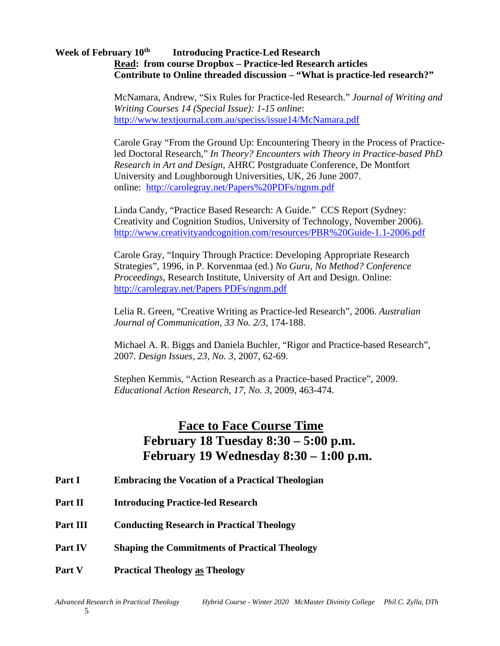#### **Week of February 10th Introducing Practice-Led Research Read: from course Dropbox – Practice-led Research articles Contribute to Online threaded discussion – "What is practice-led research?"**

McNamara, Andrew, "Six Rules for Practice-led Research." *Journal of Writing and Writing Courses 14 (Special Issue): 1-15 online*: <http://www.textjournal.com.au/speciss/issue14/McNamara.pdf>

Carole Gray "From the Ground Up: Encountering Theory in the Process of Practiceled Doctoral Research," *In Theory? Encounters with Theory in Practice-based PhD Research in Art and Design*, AHRC Postgraduate Conference, De Montfort University and Loughborough Universities, UK, 26 June 2007. online: <http://carolegray.net/Papers%20PDFs/ngnm.pdf>

Linda Candy, "Practice Based Research: A Guide." CCS Report (Sydney: Creativity and Cognition Studios, University of Technology, November 2006). <http://www.creativityandcognition.com/resources/PBR%20Guide-1.1-2006.pdf>

Carole Gray, "Inquiry Through Practice: Developing Appropriate Research Strategies", 1996, in P. Korvenmaa (ed.) *No Guru, No Method? Conference Proceedings*, Research Institute, University of Art and Design. Online: [http://carolegray.net/Papers PDFs/ngnm.pdf](http://carolegray.net/Papers%20PDFs/ngnm.pdf)

Lelia R. Green, "Creative Writing as Practice-led Research", 2006. *Australian Journal of Communication, 33 No. 2/3*, 174-188.

Michael A. R. Biggs and Daniela Buchler, "Rigor and Practice-based Research", 2007. *Design Issues, 23, No. 3*, 2007, 62-69.

Stephen Kemmis, "Action Research as a Practice-based Practice", 2009. *Educational Action Research, 17, No. 3*, 2009, 463-474.

# **Face to Face Course Time February 18 Tuesday 8:30 – 5:00 p.m. February 19 Wednesday 8:30 – 1:00 p.m.**

- **Part I Embracing the Vocation of a Practical Theologian**
- **Part II Introducing Practice-led Research**
- **Part III Conducting Research in Practical Theology**
- **Part IV Shaping the Commitments of Practical Theology**
- **Part V Practical Theology as Theology**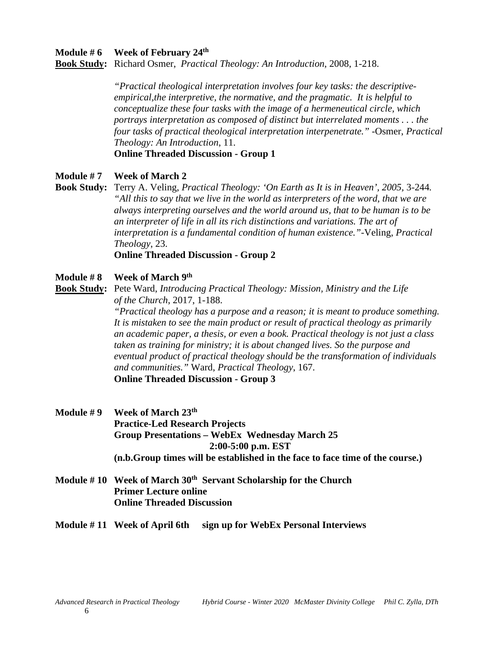#### **Module # 6 Week of February 24th**

**Book Study:** Richard Osmer, *Practical Theology: An Introduction*, 2008, 1-218.

*"Practical theological interpretation involves four key tasks: the descriptiveempirical,the interpretive, the normative, and the pragmatic. It is helpful to conceptualize these four tasks with the image of a hermeneutical circle, which portrays interpretation as composed of distinct but interrelated moments . . . the four tasks of practical theological interpretation interpenetrate."* -Osmer, *Practical Theology: An Introduction*, 11.

**Online Threaded Discussion - Group 1**

#### **Module # 7 Week of March 2**

**Book Study:** Terry A. Veling, *Practical Theology: 'On Earth as It is in Heaven', 2005,* 3-244*. "All this to say that we live in the world as interpreters of the word, that we are always interpreting ourselves and the world around us, that to be human is to be an interpreter of life in all its rich distinctions and variations. The art of interpretation is a fundamental condition of human existence."-*Veling, *Practical Theology*, 23.

**Online Threaded Discussion - Group 2**

#### **Module # 8 Week of March 9th**

**Book Study:** Pete Ward, *Introducing Practical Theology: Mission, Ministry and the Life of the Church*, 2017, 1-188.

> *"Practical theology has a purpose and a reason; it is meant to produce something. It is mistaken to see the main product or result of practical theology as primarily an academic paper, a thesis, or even a book. Practical theology is not just a class taken as training for ministry; it is about changed lives. So the purpose and eventual product of practical theology should be the transformation of individuals and communities."* Ward, *Practical Theology*, 167. **Online Threaded Discussion - Group 3**

- **Module # 9 Week of March 23th Practice-Led Research Projects Group Presentations – WebEx Wednesday March 25 2:00-5:00 p.m. EST (n.b.Group times will be established in the face to face time of the course.)**
- **Module # 10 Week of March 30th Servant Scholarship for the Church Primer Lecture online Online Threaded Discussion**

#### **Module # 11 Week of April 6th sign up for WebEx Personal Interviews**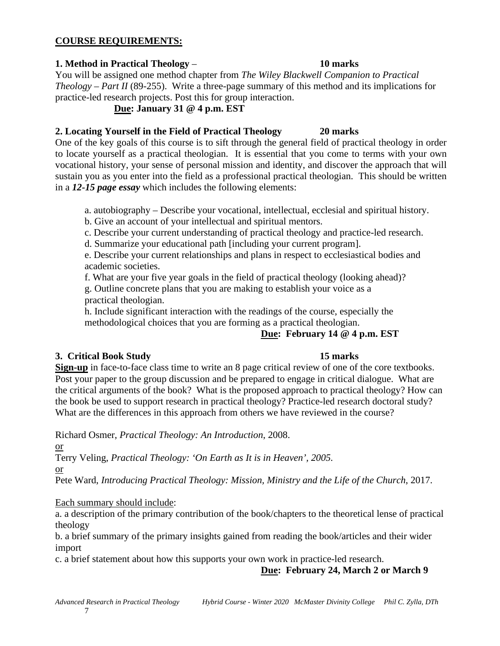## **COURSE REQUIREMENTS:**

#### **1. Method in Practical Theology** – **10 marks**

You will be assigned one method chapter from *The Wiley Blackwell Companion to Practical Theology – Part II* (89-255). Write a three-page summary of this method and its implications for practice-led research projects. Post this for group interaction.

#### **Due: January 31 @ 4 p.m. EST**

## **2. Locating Yourself in the Field of Practical Theology 20 marks**

One of the key goals of this course is to sift through the general field of practical theology in order to locate yourself as a practical theologian. It is essential that you come to terms with your own vocational history, your sense of personal mission and identity, and discover the approach that will sustain you as you enter into the field as a professional practical theologian. This should be written in a *12-15 page essay* which includes the following elements:

a. autobiography – Describe your vocational, intellectual, ecclesial and spiritual history.

- b. Give an account of your intellectual and spiritual mentors.
- c. Describe your current understanding of practical theology and practice-led research.
- d. Summarize your educational path [including your current program].

e. Describe your current relationships and plans in respect to ecclesiastical bodies and academic societies.

f. What are your five year goals in the field of practical theology (looking ahead)?

g. Outline concrete plans that you are making to establish your voice as a practical theologian.

h. Include significant interaction with the readings of the course, especially the methodological choices that you are forming as a practical theologian.

## **Due: February 14 @ 4 p.m. EST**

## **3. Critical Book Study 15 marks**

**Sign-up** in face-to-face class time to write an 8 page critical review of one of the core textbooks. Post your paper to the group discussion and be prepared to engage in critical dialogue. What are the critical arguments of the book? What is the proposed approach to practical theology? How can the book be used to support research in practical theology? Practice-led research doctoral study? What are the differences in this approach from others we have reviewed in the course?

Richard Osmer, *Practical Theology: An Introduction*, 2008.

or

Terry Veling, *Practical Theology: 'On Earth as It is in Heaven', 2005.*

or

Pete Ward, *Introducing Practical Theology: Mission, Ministry and the Life of the Church*, 2017.

## Each summary should include:

a. a description of the primary contribution of the book/chapters to the theoretical lense of practical theology

b. a brief summary of the primary insights gained from reading the book/articles and their wider import

c. a brief statement about how this supports your own work in practice-led research.

## **Due: February 24, March 2 or March 9**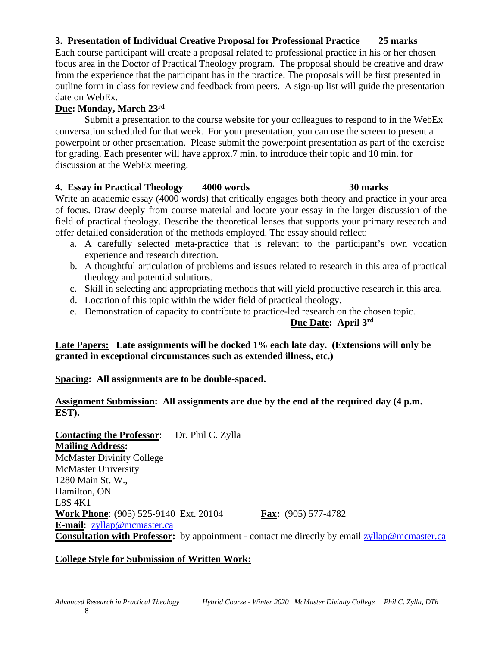# **3. Presentation of Individual Creative Proposal for Professional Practice 25 marks**

Each course participant will create a proposal related to professional practice in his or her chosen focus area in the Doctor of Practical Theology program. The proposal should be creative and draw from the experience that the participant has in the practice. The proposals will be first presented in outline form in class for review and feedback from peers. A sign-up list will guide the presentation date on WebEx.

#### **Due: Monday, March 23rd**

Submit a presentation to the course website for your colleagues to respond to in the WebEx conversation scheduled for that week. For your presentation, you can use the screen to present a powerpoint or other presentation. Please submit the powerpoint presentation as part of the exercise for grading. Each presenter will have approx.7 min. to introduce their topic and 10 min. for discussion at the WebEx meeting.

#### **4. Essay in Practical Theology 4000 words 30 marks**

Write an academic essay (4000 words) that critically engages both theory and practice in your area of focus. Draw deeply from course material and locate your essay in the larger discussion of the field of practical theology. Describe the theoretical lenses that supports your primary research and offer detailed consideration of the methods employed. The essay should reflect:

- a. A carefully selected meta-practice that is relevant to the participant's own vocation experience and research direction.
- b. A thoughtful articulation of problems and issues related to research in this area of practical theology and potential solutions.
- c. Skill in selecting and appropriating methods that will yield productive research in this area.
- d. Location of this topic within the wider field of practical theology.
- e. Demonstration of capacity to contribute to practice-led research on the chosen topic.

#### **Due Date: April 3rd**

**Late Papers: Late assignments will be docked 1% each late day. (Extensions will only be granted in exceptional circumstances such as extended illness, etc.)**

## **Spacing: All assignments are to be double-spaced.**

## **Assignment Submission: All assignments are due by the end of the required day (4 p.m. EST).**

**Contacting the Professor**: Dr. Phil C. Zylla **Mailing Address:** McMaster Divinity College McMaster University 1280 Main St. W., Hamilton, ON L8S 4K1 **Work Phone**: (905) 525-9140 Ext. 20104 **Fax:** (905) 577-4782 **E-mail**: [zyllap@mcmaster.ca](mailto:phil.zylla@twu.ca) **Consultation with Professor:** by appointment - contact me directly by email [zyllap@mcmaster.ca](mailto:zyllap@mcmaster.ca)

## **College Style for Submission of Written Work:**